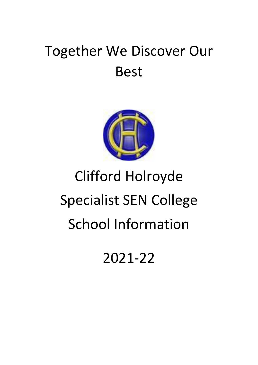## Together We Discover Our Best



# Clifford Holroyde Specialist SEN College School Information

2021-22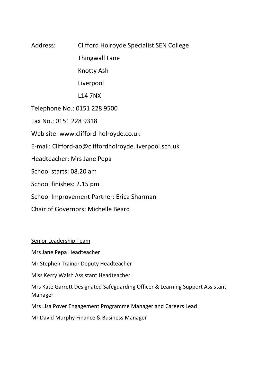## Address: Clifford Holroyde Specialist SEN College Thingwall Lane Knotty Ash Liverpool L14 7NX Telephone No.: 0151 228 9500 Fax No.: 0151 228 9318 Web site: www.clifford-holroyde.co.uk E-mail: Clifford-ao@cliffordholroyde.liverpool.sch.uk Headteacher: Mrs Jane Pepa School starts: 08.20 am School finishes: 2.15 pm School Improvement Partner: Erica Sharman Chair of Governors: Michelle Beard

Senior Leadership Team

Mrs Jane Pepa Headteacher

Mr Stephen Trainor Deputy Headteacher

Miss Kerry Walsh Assistant Headteacher

Mrs Kate Garrett Designated Safeguarding Officer & Learning Support Assistant Manager

Mrs Lisa Pover Engagement Programme Manager and Careers Lead

Mr David Murphy Finance & Business Manager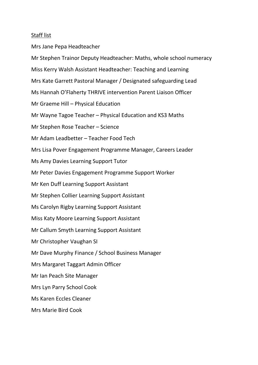#### Staff list

Mrs Jane Pepa Headteacher Mr Stephen Trainor Deputy Headteacher: Maths, whole school numeracy Miss Kerry Walsh Assistant Headteacher: Teaching and Learning Mrs Kate Garrett Pastoral Manager / Designated safeguarding Lead Ms Hannah O'Flaherty THRIVE intervention Parent Liaison Officer Mr Graeme Hill – Physical Education Mr Wayne Tagoe Teacher – Physical Education and KS3 Maths Mr Stephen Rose Teacher – Science Mr Adam Leadbetter – Teacher Food Tech Mrs Lisa Pover Engagement Programme Manager, Careers Leader Ms Amy Davies Learning Support Tutor Mr Peter Davies Engagement Programme Support Worker Mr Ken Duff Learning Support Assistant Mr Stephen Collier Learning Support Assistant Ms Carolyn Rigby Learning Support Assistant Miss Katy Moore Learning Support Assistant Mr Callum Smyth Learning Support Assistant Mr Christopher Vaughan SI Mr Dave Murphy Finance / School Business Manager Mrs Margaret Taggart Admin Officer Mr Ian Peach Site Manager Mrs Lyn Parry School Cook Ms Karen Eccles Cleaner Mrs Marie Bird Cook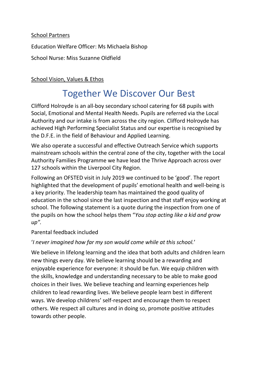#### School Partners

Education Welfare Officer: Ms Michaela Bishop

School Nurse: Miss Suzanne Oldfield

#### School Vision, Values & Ethos

### Together We Discover Our Best

Clifford Holroyde is an all-boy secondary school catering for 68 pupils with Social, Emotional and Mental Health Needs. Pupils are referred via the Local Authority and our intake is from across the city region. Clifford Holroyde has achieved High Performing Specialist Status and our expertise is recognised by the D.F.E. in the field of Behaviour and Applied Learning.

We also operate a successful and effective Outreach Service which supports mainstream schools within the central zone of the city, together with the Local Authority Families Programme we have lead the Thrive Approach across over 127 schools within the Liverpool City Region.

Following an OFSTED visit in July 2019 we continued to be 'good'. The report highlighted that the development of pupils' emotional health and well-being is a key priority. The leadership team has maintained the good quality of education in the school since the last inspection and that staff enjoy working at school. The following statement is a quote during the inspection from one of the pupils on how the school helps them "*You stop acting like a kid and grow up".*

#### Parental feedback included

#### '*I never imagined how far my son would come while at this school.*'

We believe in lifelong learning and the idea that both adults and children learn new things every day. We believe learning should be a rewarding and enjoyable experience for everyone: it should be fun. We equip children with the skills, knowledge and understanding necessary to be able to make good choices in their lives. We believe teaching and learning experiences help children to lead rewarding lives. We believe people learn best in different ways. We develop childrens' self-respect and encourage them to respect others. We respect all cultures and in doing so, promote positive attitudes towards other people.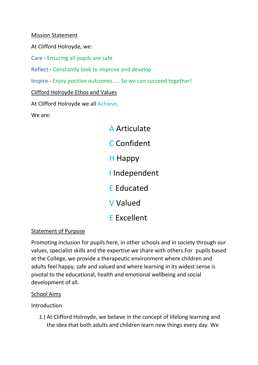Mission Statement

At Clifford Holroyde, we:

Care - Ensuring all pupils are safe

Reflect - Constantly look to improve and develop

Inspire - Enjoy positive outcomes …. So we can succeed together!

Clifford Holroyde Ethos and Values

At Clifford Holroyde we all Achieve.

We are:

A Articulate C Confident H Happy I Independent E Educated V Valued E Excellent

#### Statement of Purpose

Promoting inclusion for pupils here, in other schools and in society through our values, specialist skills and the expertise we share with others.For pupils based at the College, we provide a therapeutic environment where children and adults feel happy, safe and valued and where learning in its widest sense is pivotal to the educational, health and emotional wellbeing and social development of all.

#### School Aims

Introduction

1.) At Clifford Holroyde, we believe in the concept of lifelong learning and the idea that both adults and children learn new things every day. We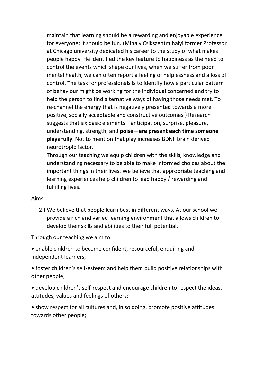maintain that learning should be a rewarding and enjoyable experience for everyone; it should be fun. (Mihaly Csikszentmihalyi former Professor at Chicago university dedicated his career to the study of what makes people happy. He identified the key feature to happiness as the need to control the events which shape our lives, when we suffer from poor mental health, we can often report a feeling of helplessness and a loss of control. The task for professionals is to identify how a particular pattern of behaviour might be working for the individual concerned and try to help the person to find alternative ways of having those needs met. To re-channel the energy that is negatively presented towards a more positive, socially acceptable and constructive outcomes.) Research suggests that six basic elements—anticipation, surprise, pleasure, understanding, strength, and **poise—are present each time someone plays fully**. Not to mention that play increases BDNF brain derived neurotropic factor.

Through our teaching we equip children with the skills, knowledge and understanding necessary to be able to make informed choices about the important things in their lives. We believe that appropriate teaching and learning experiences help children to lead happy / rewarding and fulfilling lives.

#### Aims

2.) We believe that people learn best in different ways. At our school we provide a rich and varied learning environment that allows children to develop their skills and abilities to their full potential.

Through our teaching we aim to:

• enable children to become confident, resourceful, enquiring and independent learners;

• foster children's self-esteem and help them build positive relationships with other people;

• develop children's self-respect and encourage children to respect the ideas, attitudes, values and feelings of others;

• show respect for all cultures and, in so doing, promote positive attitudes towards other people;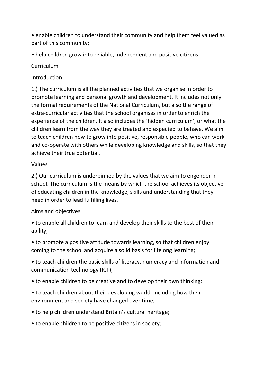• enable children to understand their community and help them feel valued as part of this community;

• help children grow into reliable, independent and positive citizens.

#### Curriculum

#### Introduction

1.) The curriculum is all the planned activities that we organise in order to promote learning and personal growth and development. It includes not only the formal requirements of the National Curriculum, but also the range of extra-curricular activities that the school organises in order to enrich the experience of the children. It also includes the 'hidden curriculum', or what the children learn from the way they are treated and expected to behave. We aim to teach children how to grow into positive, responsible people, who can work and co-operate with others while developing knowledge and skills, so that they achieve their true potential.

#### Values

2.) Our curriculum is underpinned by the values that we aim to engender in school. The curriculum is the means by which the school achieves its objective of educating children in the knowledge, skills and understanding that they need in order to lead fulfilling lives.

#### Aims and objectives

- to enable all children to learn and develop their skills to the best of their ability;
- to promote a positive attitude towards learning, so that children enjoy coming to the school and acquire a solid basis for lifelong learning;
- to teach children the basic skills of literacy, numeracy and information and communication technology (ICT);
- to enable children to be creative and to develop their own thinking;
- to teach children about their developing world, including how their environment and society have changed over time;
- to help children understand Britain's cultural heritage;
- to enable children to be positive citizens in society;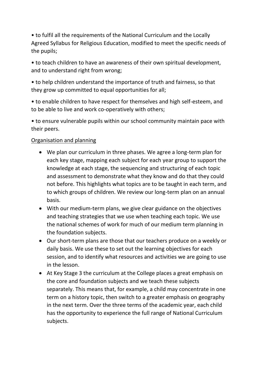• to fulfil all the requirements of the National Curriculum and the Locally Agreed Syllabus for Religious Education, modified to meet the specific needs of the pupils;

• to teach children to have an awareness of their own spiritual development, and to understand right from wrong;

• to help children understand the importance of truth and fairness, so that they grow up committed to equal opportunities for all;

• to enable children to have respect for themselves and high self-esteem, and to be able to live and work co-operatively with others;

• to ensure vulnerable pupils within our school community maintain pace with their peers.

#### Organisation and planning

- We plan our curriculum in three phases. We agree a long-term plan for each key stage, mapping each subject for each year group to support the knowledge at each stage, the sequencing and structuring of each topic and assessment to demonstrate what they know and do that they could not before. This highlights what topics are to be taught in each term, and to which groups of children. We review our long-term plan on an annual basis.
- With our medium-term plans, we give clear guidance on the objectives and teaching strategies that we use when teaching each topic. We use the national schemes of work for much of our medium term planning in the foundation subjects.
- Our short-term plans are those that our teachers produce on a weekly or daily basis. We use these to set out the learning objectives for each session, and to identify what resources and activities we are going to use in the lesson.
- At Key Stage 3 the curriculum at the College places a great emphasis on the core and foundation subjects and we teach these subjects separately. This means that, for example, a child may concentrate in one term on a history topic, then switch to a greater emphasis on geography in the next term. Over the three terms of the academic year, each child has the opportunity to experience the full range of National Curriculum subjects.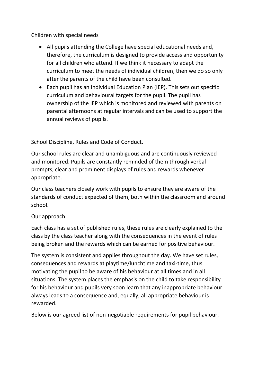#### Children with special needs

- All pupils attending the College have special educational needs and, therefore, the curriculum is designed to provide access and opportunity for all children who attend. If we think it necessary to adapt the curriculum to meet the needs of individual children, then we do so only after the parents of the child have been consulted.
- Each pupil has an Individual Education Plan (IEP). This sets out specific curriculum and behavioural targets for the pupil. The pupil has ownership of the IEP which is monitored and reviewed with parents on parental afternoons at regular intervals and can be used to support the annual reviews of pupils.

#### School Discipline, Rules and Code of Conduct.

Our school rules are clear and unambiguous and are continuously reviewed and monitored. Pupils are constantly reminded of them through verbal prompts, clear and prominent displays of rules and rewards whenever appropriate.

Our class teachers closely work with pupils to ensure they are aware of the standards of conduct expected of them, both within the classroom and around school.

#### Our approach:

Each class has a set of published rules, these rules are clearly explained to the class by the class teacher along with the consequences in the event of rules being broken and the rewards which can be earned for positive behaviour.

The system is consistent and applies throughout the day. We have set rules, consequences and rewards at playtime/lunchtime and taxi-time, thus motivating the pupil to be aware of his behaviour at all times and in all situations. The system places the emphasis on the child to take responsibility for his behaviour and pupils very soon learn that any inappropriate behaviour always leads to a consequence and, equally, all appropriate behaviour is rewarded.

Below is our agreed list of non-negotiable requirements for pupil behaviour.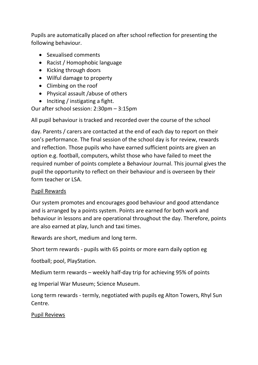Pupils are automatically placed on after school reflection for presenting the following behaviour.

- Sexualised comments
- Racist / Homophobic language
- Kicking through doors
- Wilful damage to property
- Climbing on the roof
- Physical assault /abuse of others
- Inciting / instigating a fight.

Our after school session: 2:30pm – 3:15pm

All pupil behaviour is tracked and recorded over the course of the school

day. Parents / carers are contacted at the end of each day to report on their son's performance. The final session of the school day is for review, rewards and reflection. Those pupils who have earned sufficient points are given an option e.g. football, computers, whilst those who have failed to meet the required number of points complete a Behaviour Journal. This journal gives the pupil the opportunity to reflect on their behaviour and is overseen by their form teacher or LSA.

#### Pupil Rewards

Our system promotes and encourages good behaviour and good attendance and is arranged by a points system. Points are earned for both work and behaviour in lessons and are operational throughout the day. Therefore, points are also earned at play, lunch and taxi times.

Rewards are short, medium and long term.

Short term rewards - pupils with 65 points or more earn daily option eg

football; pool, PlayStation.

Medium term rewards – weekly half-day trip for achieving 95% of points

eg Imperial War Museum; Science Museum.

Long term rewards - termly, negotiated with pupils eg Alton Towers, Rhyl Sun Centre.

#### Pupil Reviews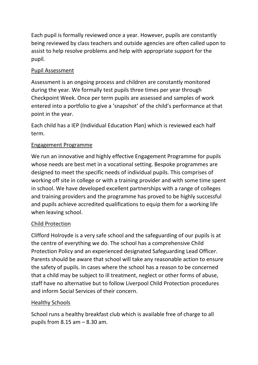Each pupil is formally reviewed once a year. However, pupils are constantly being reviewed by class teachers and outside agencies are often called upon to assist to help resolve problems and help with appropriate support for the pupil.

#### Pupil Assessment

Assessment is an ongoing process and children are constantly monitored during the year. We formally test pupils three times per year through Checkpoint Week. Once per term pupils are assessed and samples of work entered into a portfolio to give a 'snapshot' of the child's performance at that point in the year.

Each child has a IEP (Individual Education Plan) which is reviewed each half term.

#### Engagement Programme

We run an innovative and highly effective Engagement Programme for pupils whose needs are best met in a vocational setting. Bespoke programmes are designed to meet the specific needs of individual pupils. This comprises of working off site in college or with a training provider and with some time spent in school. We have developed excellent partnerships with a range of colleges and training providers and the programme has proved to be highly successful and pupils achieve accredited qualifications to equip them for a working life when leaving school.

#### Child Protection

Clifford Holroyde is a very safe school and the safeguarding of our pupils is at the centre of everything we do. The school has a comprehensive Child Protection Policy and an experienced designated Safeguarding Lead Officer. Parents should be aware that school will take any reasonable action to ensure the safety of pupils. In cases where the school has a reason to be concerned that a child may be subject to ill treatment, neglect or other forms of abuse, staff have no alternative but to follow Liverpool Child Protection procedures and inform Social Services of their concern.

#### Healthy Schools

School runs a healthy breakfast club which is available free of charge to all pupils from  $8.15$  am  $-8.30$  am.